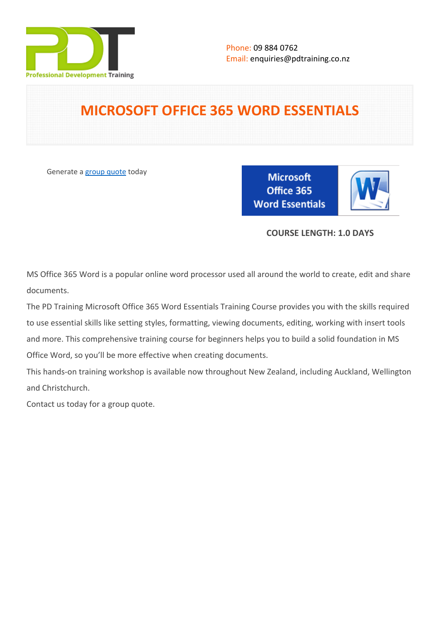

# **MICROSOFT OFFICE 365 WORD ESSENTIALS**

Generate a [group quote](https://pdtraining.co.nz/inhouse-training-quote?cse=AOFF365E) today

**Microsoft** Office 365 **Word Essentials** 

# **COURSE LENGTH: 1.0 DAYS**

MS Office 365 Word is a popular online word processor used all around the world to create, edit and share documents.

The PD Training Microsoft Office 365 Word Essentials Training Course provides you with the skills required to use essential skills like setting styles, formatting, viewing documents, editing, working with insert tools and more. This comprehensive training course for beginners helps you to build a solid foundation in MS Office Word, so you'll be more effective when creating documents.

This hands-on training workshop is available now throughout New Zealand, including Auckland, Wellington and Christchurch.

Contact us today for a [group quote.](https://pdtraining.co.nz/bookings/inhouseex1/quoterequestex1a.aspx)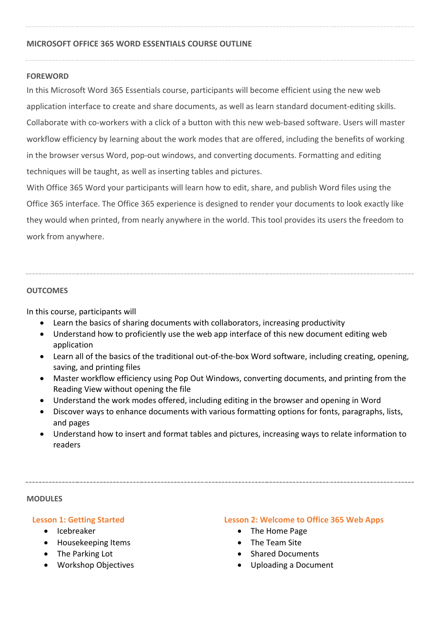### **MICROSOFT OFFICE 365 WORD ESSENTIALS COURSE OUTLINE**

#### **FOREWORD**

In this Microsoft Word 365 Essentials course, participants will become efficient using the new web application interface to create and share documents, as well as learn standard document-editing skills. Collaborate with co-workers with a click of a button with this new web-based software. Users will master workflow efficiency by learning about the work modes that are offered, including the benefits of working in the browser versus Word, pop-out windows, and converting documents. Formatting and editing techniques will be taught, as well as inserting tables and pictures.

With Office 365 Word your participants will learn how to edit, share, and publish Word files using the Office 365 interface. The Office 365 experience is designed to render your documents to look exactly like they would when printed, from nearly anywhere in the world. This tool provides its users the freedom to work from anywhere.

#### **OUTCOMES**

In this course, participants will

- Learn the basics of sharing documents with collaborators, increasing productivity
- Understand how to proficiently use the web app interface of this new document editing web application
- Learn all of the basics of the traditional out-of-the-box Word software, including creating, opening, saving, and printing files
- Master workflow efficiency using Pop Out Windows, converting documents, and printing from the Reading View without opening the file
- Understand the work modes offered, including editing in the browser and opening in Word
- Discover ways to enhance documents with various formatting options for fonts, paragraphs, lists, and pages
- Understand how to insert and format tables and pictures, increasing ways to relate information to readers

#### **MODULES**

#### **Lesson 1: Getting Started**

- **•** Icebreaker
- Housekeeping Items
- The Parking Lot
- Workshop Objectives

#### **Lesson 2: Welcome to Office 365 Web Apps**

- The Home Page
- The Team Site
- **Shared Documents**
- Uploading a Document